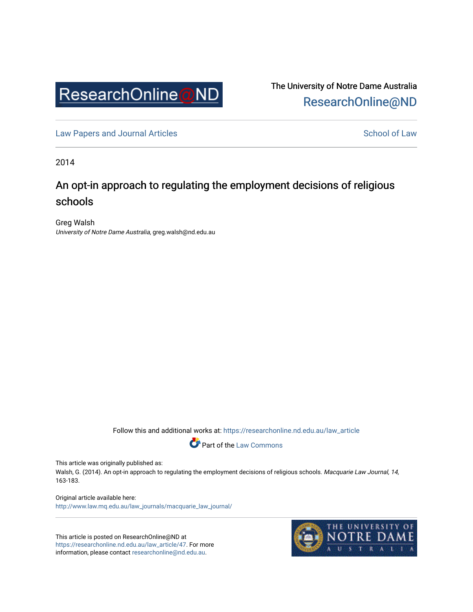

The University of Notre Dame Australia [ResearchOnline@ND](https://researchonline.nd.edu.au/) 

[Law Papers and Journal Articles](https://researchonline.nd.edu.au/law_article) and School of Law

2014

# An opt-in approach to regulating the employment decisions of religious schools

Greg Walsh University of Notre Dame Australia, greg.walsh@nd.edu.au

Follow this and additional works at: [https://researchonline.nd.edu.au/law\\_article](https://researchonline.nd.edu.au/law_article?utm_source=researchonline.nd.edu.au%2Flaw_article%2F47&utm_medium=PDF&utm_campaign=PDFCoverPages) 



This article was originally published as:

Walsh, G. (2014). An opt-in approach to regulating the employment decisions of religious schools. Macquarie Law Journal, 14, 163-183.

Original article available here: [http://www.law.mq.edu.au/law\\_journals/macquarie\\_law\\_journal/](http://www.law.mq.edu.au/law_journals/macquarie_law_journal/) 

This article is posted on ResearchOnline@ND at [https://researchonline.nd.edu.au/law\\_article/47](https://researchonline.nd.edu.au/law_article/47). For more information, please contact [researchonline@nd.edu.au.](mailto:researchonline@nd.edu.au)

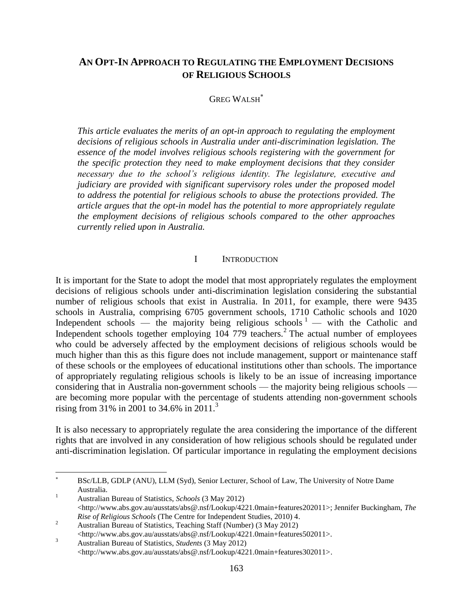# **AN OPT-IN APPROACH TO REGULATING THE EMPLOYMENT DECISIONS OF RELIGIOUS SCHOOLS**

#### GREG WALSH

*This article evaluates the merits of an opt-in approach to regulating the employment decisions of religious schools in Australia under anti-discrimination legislation. The essence of the model involves religious schools registering with the government for the specific protection they need to make employment decisions that they consider necessary due to the school's religious identity. The legislature, executive and judiciary are provided with significant supervisory roles under the proposed model to address the potential for religious schools to abuse the protections provided. The article argues that the opt-in model has the potential to more appropriately regulate the employment decisions of religious schools compared to the other approaches currently relied upon in Australia.*

#### I INTRODUCTION

It is important for the State to adopt the model that most appropriately regulates the employment decisions of religious schools under anti-discrimination legislation considering the substantial number of religious schools that exist in Australia. In 2011, for example, there were 9435 schools in Australia, comprising 6705 government schools, 1710 Catholic schools and 1020 Independent schools — the majority being religious schools  $1 -$  with the Catholic and Independent schools together employing  $10\overline{4}$  779 teachers.<sup>2</sup> The actual number of employees who could be adversely affected by the employment decisions of religious schools would be much higher than this as this figure does not include management, support or maintenance staff of these schools or the employees of educational institutions other than schools. The importance of appropriately regulating religious schools is likely to be an issue of increasing importance considering that in Australia non-government schools — the majority being religious schools are becoming more popular with the percentage of students attending non-government schools rising from 31% in 2001 to 34.6% in 2011.<sup>3</sup>

It is also necessary to appropriately regulate the area considering the importance of the different rights that are involved in any consideration of how religious schools should be regulated under anti-discrimination legislation. Of particular importance in regulating the employment decisions

l

BSc/LLB, GDLP (ANU), LLM (Syd), Senior Lecturer, School of Law, The University of Notre Dame Australia.

<sup>1</sup> Australian Bureau of Statistics, *Schools* (3 May 2012)  $\langle$ http://www.abs.gov.au/ausstats/abs@.nsf/Lookup/4221.0main+features202011>; Jennifer Buckingham, *The Rise of Religious Schools* (The Centre for Independent Studies, 2010) 4.

<sup>&</sup>lt;sup>2</sup><br>Australian Bureau of Statistics, Teaching Staff (Number) (3 May 2012)

<sup>&</sup>lt;http://www.abs.gov.au/ausstats/abs@.nsf/Lookup/4221.0main+features502011>. <sup>3</sup> Australian Bureau of Statistics, *Students* (3 May 2012)

<sup>&</sup>lt;http://www.abs.gov.au/ausstats/abs@.nsf/Lookup/4221.0main+features302011>.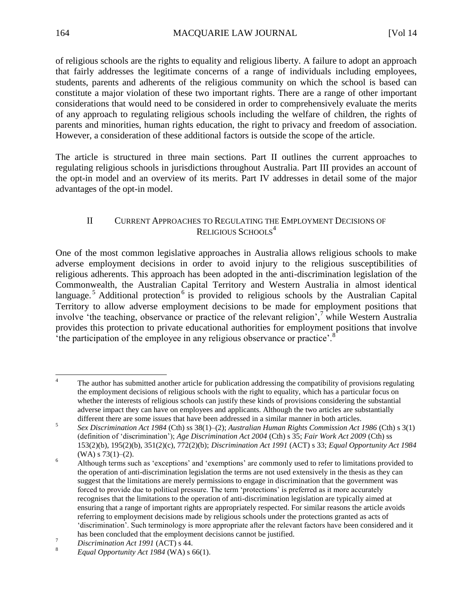of religious schools are the rights to equality and religious liberty. A failure to adopt an approach that fairly addresses the legitimate concerns of a range of individuals including employees, students, parents and adherents of the religious community on which the school is based can constitute a major violation of these two important rights. There are a range of other important considerations that would need to be considered in order to comprehensively evaluate the merits of any approach to regulating religious schools including the welfare of children, the rights of parents and minorities, human rights education, the right to privacy and freedom of association. However, a consideration of these additional factors is outside the scope of the article.

The article is structured in three main sections. Part II outlines the current approaches to regulating religious schools in jurisdictions throughout Australia. Part III provides an account of the opt-in model and an overview of its merits. Part IV addresses in detail some of the major advantages of the opt-in model.

# II CURRENT APPROACHES TO REGULATING THE EMPLOYMENT DECISIONS OF RELIGIOUS SCHOOLS<sup>4</sup>

One of the most common legislative approaches in Australia allows religious schools to make adverse employment decisions in order to avoid injury to the religious susceptibilities of religious adherents. This approach has been adopted in the anti-discrimination legislation of the Commonwealth, the Australian Capital Territory and Western Australia in almost identical language.<sup>5</sup> Additional protection<sup>6</sup> is provided to religious schools by the Australian Capital Territory to allow adverse employment decisions to be made for employment positions that involve 'the teaching, observance or practice of the relevant religion', while Western Australia provides this protection to private educational authorities for employment positions that involve the participation of the employee in any religious observance or practice'.<sup>8</sup>

 $\overline{4}$ The author has submitted another article for publication addressing the compatibility of provisions regulating the employment decisions of religious schools with the right to equality, which has a particular focus on whether the interests of religious schools can justify these kinds of provisions considering the substantial adverse impact they can have on employees and applicants. Although the two articles are substantially different there are some issues that have been addressed in a similar manner in both articles.

<sup>5</sup> *Sex Discrimination Act 1984* (Cth) ss 38(1)–(2); *Australian Human Rights Commission Act 1986* (Cth) s 3(1) (definition of 'discrimination'); *Age Discrimination Act 2004* (Cth) s 35; *Fair Work Act 2009* (Cth) ss 153(2)(b), 195(2)(b), 351(2)(c), 772(2)(b); *Discrimination Act 1991* (ACT) s 33; *Equal Opportunity Act 1984*  $(WA)$  s 73(1)–(2).

<sup>&</sup>lt;sup>6</sup> Although terms such as 'exceptions' and 'exemptions' are commonly used to refer to limitations provided to the operation of anti-discrimination legislation the terms are not used extensively in the thesis as they can suggest that the limitations are merely permissions to engage in discrimination that the government was forced to provide due to political pressure. The term 'protections' is preferred as it more accurately recognises that the limitations to the operation of anti-discrimination legislation are typically aimed at ensuring that a range of important rights are appropriately respected. For similar reasons the article avoids referring to employment decisions made by religious schools under the protections granted as acts of 'discrimination'. Such terminology is more appropriate after the relevant factors have been considered and it has been concluded that the employment decisions cannot be justified.

<sup>7</sup> *Discrimination Act 1991* (ACT) s 44.

<sup>8</sup> *Equal Opportunity Act 1984* (WA) s 66(1).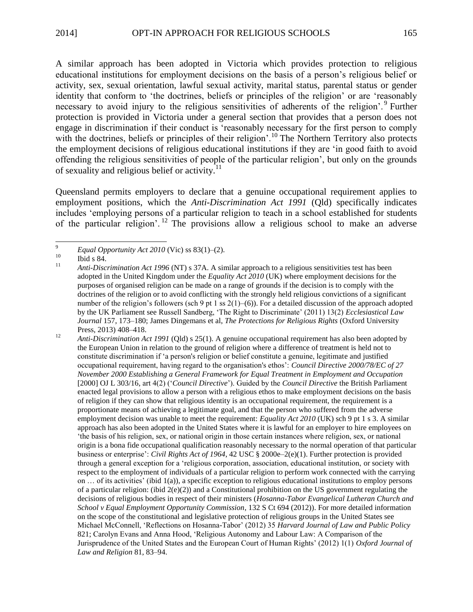A similar approach has been adopted in Victoria which provides protection to religious educational institutions for employment decisions on the basis of a person's religious belief or activity, sex, sexual orientation, lawful sexual activity, marital status, parental status or gender identity that conform to 'the doctrines, beliefs or principles of the religion' or are 'reasonably necessary to avoid injury to the religious sensitivities of adherents of the religion'.<sup>9</sup> Further protection is provided in Victoria under a general section that provides that a person does not engage in discrimination if their conduct is 'reasonably necessary for the first person to comply with the doctrines, beliefs or principles of their religion'.<sup>10</sup> The Northern Territory also protects the employment decisions of religious educational institutions if they are 'in good faith to avoid offending the religious sensitivities of people of the particular religion', but only on the grounds of sexuality and religious belief or activity.<sup>11</sup>

Queensland permits employers to declare that a genuine occupational requirement applies to employment positions, which the *Anti-Discrimination Act 1991* (Qld) specifically indicates includes 'employing persons of a particular religion to teach in a school established for students of the particular religion'.<sup>12</sup> The provisions allow a religious school to make an adverse

 $\overline{9}$ <sup>9</sup> *Equal Opportunity Act 2010* (Vic) ss 83(1)–(2).<br> **Ibid** s 84

 $\frac{10}{11}$  Ibid s 84.

<sup>11</sup> *Anti-Discrimination Act 1996* (NT) s 37A. A similar approach to a religious sensitivities test has been adopted in the United Kingdom under the *Equality Act 2010* (UK) where employment decisions for the purposes of organised religion can be made on a range of grounds if the decision is to comply with the doctrines of the religion or to avoid conflicting with the strongly held religious convictions of a significant number of the religion's followers (sch 9 pt 1 ss  $2(1)$ –(6)). For a detailed discussion of the approach adopted by the UK Parliament see Russell Sandberg, 'The Right to Discriminate' (2011) 13(2) *Ecclesiastical Law Journal* 157, 173–180; James Dingemans et al, *The Protections for Religious Rights* (Oxford University Press, 2013) 408–418.

<sup>&</sup>lt;sup>12</sup> *Anti-Discrimination Act 1991* (Qld) s 25(1). A genuine occupational requirement has also been adopted by the European Union in relation to the ground of religion where a difference of treatment is held not to constitute discrimination if 'a person's religion or belief constitute a genuine, legitimate and justified occupational requirement, having regard to the organisation's ethos': *Council Directive 2000/78/EC of 27 November 2000 Establishing a General Framework for Equal Treatment in Employment and Occupation* [2000] OJ L 303/16, art 4(2) ('*Council Directive*'). Guided by the *Council Directive* the British Parliament enacted legal provisions to allow a person with a religious ethos to make employment decisions on the basis of religion if they can show that religious identity is an occupational requirement, the requirement is a proportionate means of achieving a legitimate goal, and that the person who suffered from the adverse employment decision was unable to meet the requirement: *Equality Act 2010* (UK) sch 9 pt 1 s 3. A similar approach has also been adopted in the United States where it is lawful for an employer to hire employees on 'the basis of his religion, sex, or national origin in those certain instances where religion, sex, or national origin is a bona fide occupational qualification reasonably necessary to the normal operation of that particular business or enterprise': *Civil Rights Act of 1964*, 42 USC § 2000e–2(e)(1). Further protection is provided through a general exception for a 'religious corporation, association, educational institution, or society with respect to the employment of individuals of a particular religion to perform work connected with the carrying on … of its activities' (ibid 1(a)), a specific exception to religious educational institutions to employ persons of a particular religion: (ibid  $2(e)(2)$ ) and a Constitutional prohibition on the US government regulating the decisions of religious bodies in respect of their ministers (*Hosanna-Tabor Evangelical Lutheran Church and School v Equal Employment Opportunity Commission*, 132 S Ct 694 (2012)). For more detailed information on the scope of the constitutional and legislative protection of religious groups in the United States see Michael McConnell, 'Reflections on Hosanna-Tabor' (2012) 35 *Harvard Journal of Law and Public Policy* 821; Carolyn Evans and Anna Hood, 'Religious Autonomy and Labour Law: A Comparison of the Jurisprudence of the United States and the European Court of Human Rights' (2012) 1(1) *Oxford Journal of Law and Religion* 81, 83–94.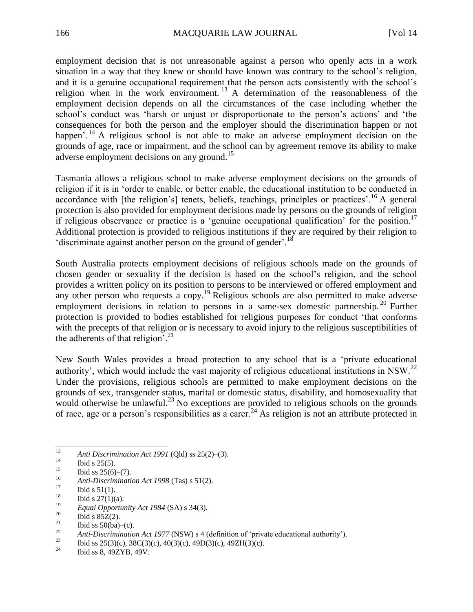employment decision that is not unreasonable against a person who openly acts in a work situation in a way that they knew or should have known was contrary to the school's religion, and it is a genuine occupational requirement that the person acts consistently with the school's religion when in the work environment.<sup>13</sup> A determination of the reasonableness of the employment decision depends on all the circumstances of the case including whether the school's conduct was 'harsh or unjust or disproportionate to the person's actions' and 'the consequences for both the person and the employer should the discrimination happen or not happen'. <sup>14</sup> A religious school is not able to make an adverse employment decision on the grounds of age, race or impairment, and the school can by agreement remove its ability to make adverse employment decisions on any ground.<sup>15</sup>

Tasmania allows a religious school to make adverse employment decisions on the grounds of religion if it is in 'order to enable, or better enable, the educational institution to be conducted in accordance with [the religion's] tenets, beliefs, teachings, principles or practices'.<sup>16</sup> A general protection is also provided for employment decisions made by persons on the grounds of religion if religious observance or practice is a 'genuine occupational qualification' for the position.<sup>17</sup> Additional protection is provided to religious institutions if they are required by their religion to 'discriminate against another person on the ground of gender'.<sup>18</sup>

South Australia protects employment decisions of religious schools made on the grounds of chosen gender or sexuality if the decision is based on the school's religion, and the school provides a written policy on its position to persons to be interviewed or offered employment and any other person who requests a copy.<sup>19</sup> Religious schools are also permitted to make adverse employment decisions in relation to persons in a same-sex domestic partnership.<sup>20</sup> Further protection is provided to bodies established for religious purposes for conduct 'that conforms with the precepts of that religion or is necessary to avoid injury to the religious susceptibilities of the adherents of that religion'.<sup>21</sup>

New South Wales provides a broad protection to any school that is a 'private educational authority', which would include the vast majority of religious educational institutions in NSW.<sup>22</sup> Under the provisions, religious schools are permitted to make employment decisions on the grounds of sex, transgender status, marital or domestic status, disability, and homosexuality that would otherwise be unlawful.<sup>23</sup> No exceptions are provided to religious schools on the grounds of race, age or a person's responsibilities as a carer.<sup>24</sup> As religion is not an attribute protected in

<sup>13</sup> <sup>13</sup> *Anti Discrimination Act 1991* (Qld) ss 25(2)–(3).

 $14$  Ibid s 25(5).

 $\frac{15}{16}$  Ibid ss 25(6)–(7).

<sup>16</sup> *Anti-Discrimination Act 1998* (Tas) s 51(2).

 $\frac{17}{18}$  Ibid s 51(1).

 $18$  Ibid s 27(1)(a).

<sup>&</sup>lt;sup>19</sup> *Equal Opportunity Act 1984* (SA) s 34(3).<br><sup>20</sup> **Ibid s 957(3)** 

<sup>&</sup>lt;sup>20</sup> Ibid s 85Z(2).

 $\frac{21}{22}$  Ibid ss 50(ba)–(c).

<sup>22</sup> *Anti-Discrimination Act 1977* (NSW) s 4 (definition of 'private educational authority').<br>23 **h**id as 25(3)(a) 28C(3)(a) 40C(3)(a) 40D(3)(a) 40TH(3)(a)

<sup>&</sup>lt;sup>23</sup> Ibid ss 25(3)(c), 38C(3)(c), 40(3)(c), 49D(3)(c), 49ZH(3)(c).<br><sup>24</sup> Ibid so 40ZYD 40V

<sup>24</sup> Ibid ss 8, 49ZYB, 49V.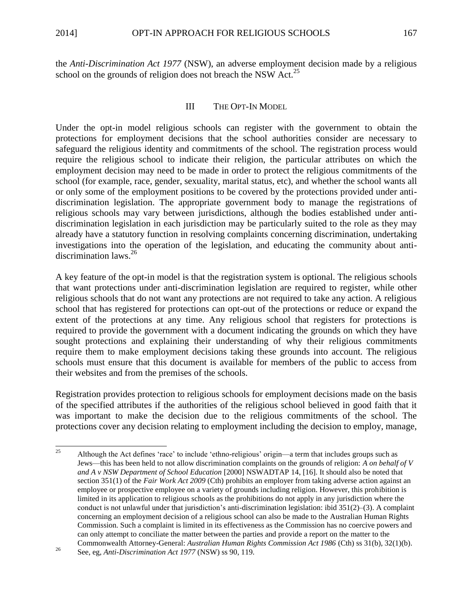the *Anti-Discrimination Act 1977* (NSW), an adverse employment decision made by a religious school on the grounds of religion does not breach the NSW Act.<sup>25</sup>

## III THE OPT-IN MODEL

Under the opt-in model religious schools can register with the government to obtain the protections for employment decisions that the school authorities consider are necessary to safeguard the religious identity and commitments of the school. The registration process would require the religious school to indicate their religion, the particular attributes on which the employment decision may need to be made in order to protect the religious commitments of the school (for example, race, gender, sexuality, marital status, etc), and whether the school wants all or only some of the employment positions to be covered by the protections provided under antidiscrimination legislation. The appropriate government body to manage the registrations of religious schools may vary between jurisdictions, although the bodies established under antidiscrimination legislation in each jurisdiction may be particularly suited to the role as they may already have a statutory function in resolving complaints concerning discrimination, undertaking investigations into the operation of the legislation, and educating the community about antidiscrimination laws.<sup>26</sup>

A key feature of the opt-in model is that the registration system is optional. The religious schools that want protections under anti-discrimination legislation are required to register, while other religious schools that do not want any protections are not required to take any action. A religious school that has registered for protections can opt-out of the protections or reduce or expand the extent of the protections at any time. Any religious school that registers for protections is required to provide the government with a document indicating the grounds on which they have sought protections and explaining their understanding of why their religious commitments require them to make employment decisions taking these grounds into account. The religious schools must ensure that this document is available for members of the public to access from their websites and from the premises of the schools.

Registration provides protection to religious schools for employment decisions made on the basis of the specified attributes if the authorities of the religious school believed in good faith that it was important to make the decision due to the religious commitments of the school. The protections cover any decision relating to employment including the decision to employ, manage,

<sup>25</sup> <sup>25</sup> Although the Act defines 'race' to include 'ethno-religious' origin—a term that includes groups such as Jews—this has been held to not allow discrimination complaints on the grounds of religion: *A on behalf of V and A v NSW Department of School Education* [2000] NSWADTAP 14, [16]. It should also be noted that section 351(1) of the *Fair Work Act 2009* (Cth) prohibits an employer from taking adverse action against an employee or prospective employee on a variety of grounds including religion. However, this prohibition is limited in its application to religious schools as the prohibitions do not apply in any jurisdiction where the conduct is not unlawful under that jurisdiction's anti-discrimination legislation: ibid  $351(2)–(3)$ . A complaint concerning an employment decision of a religious school can also be made to the Australian Human Rights Commission. Such a complaint is limited in its effectiveness as the Commission has no coercive powers and can only attempt to conciliate the matter between the parties and provide a report on the matter to the Commonwealth Attorney-General: *Australian Human Rights Commission Act 1986* (Cth) ss 31(b), 32(1)(b).

<sup>26</sup> See, eg, *Anti-Discrimination Act 1977* (NSW) ss 90, 119.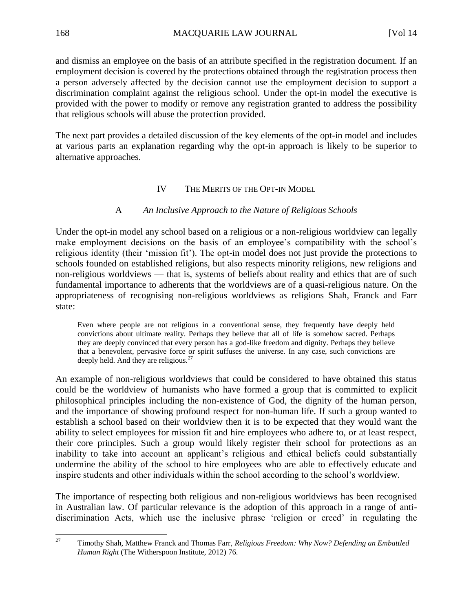and dismiss an employee on the basis of an attribute specified in the registration document. If an employment decision is covered by the protections obtained through the registration process then a person adversely affected by the decision cannot use the employment decision to support a discrimination complaint against the religious school. Under the opt-in model the executive is provided with the power to modify or remove any registration granted to address the possibility that religious schools will abuse the protection provided.

The next part provides a detailed discussion of the key elements of the opt-in model and includes at various parts an explanation regarding why the opt-in approach is likely to be superior to alternative approaches.

## IV THE MERITS OF THE OPT-IN MODEL

# A *An Inclusive Approach to the Nature of Religious Schools*

Under the opt-in model any school based on a religious or a non-religious worldview can legally make employment decisions on the basis of an employee's compatibility with the school's religious identity (their 'mission fit'). The opt-in model does not just provide the protections to schools founded on established religions, but also respects minority religions, new religions and non-religious worldviews — that is, systems of beliefs about reality and ethics that are of such fundamental importance to adherents that the worldviews are of a quasi-religious nature. On the appropriateness of recognising non-religious worldviews as religions Shah, Franck and Farr state:

Even where people are not religious in a conventional sense, they frequently have deeply held convictions about ultimate reality. Perhaps they believe that all of life is somehow sacred. Perhaps they are deeply convinced that every person has a god-like freedom and dignity. Perhaps they believe that a benevolent, pervasive force or spirit suffuses the universe. In any case, such convictions are deeply held. And they are religious.<sup>27</sup>

An example of non-religious worldviews that could be considered to have obtained this status could be the worldview of humanists who have formed a group that is committed to explicit philosophical principles including the non-existence of God, the dignity of the human person, and the importance of showing profound respect for non-human life. If such a group wanted to establish a school based on their worldview then it is to be expected that they would want the ability to select employees for mission fit and hire employees who adhere to, or at least respect, their core principles. Such a group would likely register their school for protections as an inability to take into account an applicant's religious and ethical beliefs could substantially undermine the ability of the school to hire employees who are able to effectively educate and inspire students and other individuals within the school according to the school's worldview.

The importance of respecting both religious and non-religious worldviews has been recognised in Australian law. Of particular relevance is the adoption of this approach in a range of antidiscrimination Acts, which use the inclusive phrase 'religion or creed' in regulating the

<sup>27</sup> <sup>27</sup> Timothy Shah, Matthew Franck and Thomas Farr, *Religious Freedom: Why Now? Defending an Embattled Human Right* (The Witherspoon Institute, 2012) 76.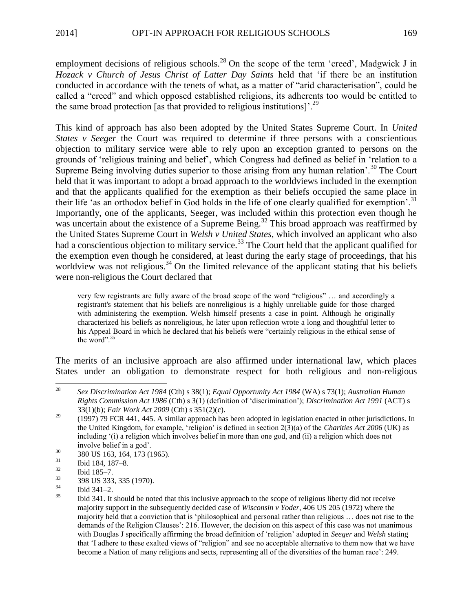employment decisions of religious schools.<sup>28</sup> On the scope of the term 'creed', Madgwick J in *Hozack v Church of Jesus Christ of Latter Day Saints* held that 'if there be an institution conducted in accordance with the tenets of what, as a matter of "arid characterisation", could be called a "creed" and which opposed established religions, its adherents too would be entitled to the same broad protection [as that provided to religious institutions]<sup>'.29</sup>

This kind of approach has also been adopted by the United States Supreme Court. In *United States v Seeger* the Court was required to determine if three persons with a conscientious objection to military service were able to rely upon an exception granted to persons on the grounds of 'religious training and belief', which Congress had defined as belief in 'relation to a Supreme Being involving duties superior to those arising from any human relation<sup>', 30</sup> The Court held that it was important to adopt a broad approach to the worldviews included in the exemption and that the applicants qualified for the exemption as their beliefs occupied the same place in their life 'as an orthodox belief in God holds in the life of one clearly qualified for exemption'.<sup>31</sup> Importantly, one of the applicants, Seeger, was included within this protection even though he was uncertain about the existence of a Supreme Being.<sup>32</sup> This broad approach was reaffirmed by the United States Supreme Court in *Welsh v United States*, which involved an applicant who also had a conscientious objection to military service.<sup>33</sup> The Court held that the applicant qualified for the exemption even though he considered, at least during the early stage of proceedings, that his worldview was not religious.<sup>34</sup> On the limited relevance of the applicant stating that his beliefs were non-religious the Court declared that

very few registrants are fully aware of the broad scope of the word "religious" … and accordingly a registrant's statement that his beliefs are nonreligious is a highly unreliable guide for those charged with administering the exemption. Welsh himself presents a case in point. Although he originally characterized his beliefs as nonreligious, he later upon reflection wrote a long and thoughtful letter to his Appeal Board in which he declared that his beliefs were "certainly religious in the ethical sense of the word".<sup>35</sup>

The merits of an inclusive approach are also affirmed under international law, which places States under an obligation to demonstrate respect for both religious and non-religious

- $\frac{32}{33}$  Ibid 185–7.
- $\frac{33}{34}$  398 US 333, 335 (1970).

 $28\,$ <sup>28</sup> *Sex Discrimination Act 1984* (Cth) s 38(1); *Equal Opportunity Act 1984* (WA) s 73(1); *Australian Human Rights Commission Act 1986* (Cth) s 3(1) (definition of 'discrimination'); *Discrimination Act 1991* (ACT) s 33(1)(b); *Fair Work Act 2009* (Cth) s 351(2)(c).

 $29$  (1997) 79 FCR 441, 445. A similar approach has been adopted in legislation enacted in other jurisdictions. In the United Kingdom, for example, 'religion' is defined in section 2(3)(a) of the *Charities Act 2006* (UK) as including '(i) a religion which involves belief in more than one god, and (ii) a religion which does not involve belief in a god'.

 $\frac{30}{31}$  380 US 163, 164, 173 (1965).

 $\frac{31}{32}$  Ibid 184, 187–8.

 $\frac{34}{35}$  Ibid 341–2.

<sup>35</sup> Ibid 341. It should be noted that this inclusive approach to the scope of religious liberty did not receive majority support in the subsequently decided case of *Wisconsin v Yoder*, 406 US 205 (1972) where the majority held that a conviction that is 'philosophical and personal rather than religious … does not rise to the demands of the Religion Clauses': 216. However, the decision on this aspect of this case was not unanimous with Douglas J specifically affirming the broad definition of 'religion' adopted in *Seeger* and *Welsh* stating that 'I adhere to these exalted views of "religion" and see no acceptable alternative to them now that we have become a Nation of many religions and sects, representing all of the diversities of the human race': 249.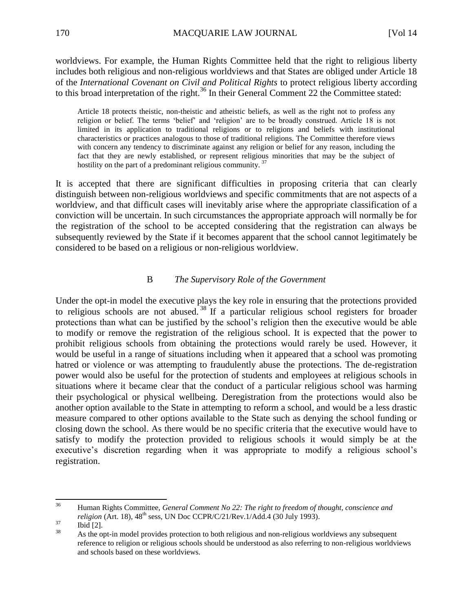worldviews. For example, the Human Rights Committee held that the right to religious liberty includes both religious and non-religious worldviews and that States are obliged under Article 18 of the *International Covenant on Civil and Political Rights* to protect religious liberty according to this broad interpretation of the right.<sup>36</sup> In their General Comment 22 the Committee stated:

Article 18 protects theistic, non-theistic and atheistic beliefs, as well as the right not to profess any religion or belief. The terms 'belief' and 'religion' are to be broadly construed. Article 18 is not limited in its application to traditional religions or to religions and beliefs with institutional characteristics or practices analogous to those of traditional religions. The Committee therefore views with concern any tendency to discriminate against any religion or belief for any reason, including the fact that they are newly established, or represent religious minorities that may be the subject of hostility on the part of a predominant religious community.<sup>37</sup>

It is accepted that there are significant difficulties in proposing criteria that can clearly distinguish between non-religious worldviews and specific commitments that are not aspects of a worldview, and that difficult cases will inevitably arise where the appropriate classification of a conviction will be uncertain. In such circumstances the appropriate approach will normally be for the registration of the school to be accepted considering that the registration can always be subsequently reviewed by the State if it becomes apparent that the school cannot legitimately be considered to be based on a religious or non-religious worldview.

### B *The Supervisory Role of the Government*

Under the opt-in model the executive plays the key role in ensuring that the protections provided to religious schools are not abused.<sup>38</sup> If a particular religious school registers for broader protections than what can be justified by the school's religion then the executive would be able to modify or remove the registration of the religious school. It is expected that the power to prohibit religious schools from obtaining the protections would rarely be used. However, it would be useful in a range of situations including when it appeared that a school was promoting hatred or violence or was attempting to fraudulently abuse the protections. The de-registration power would also be useful for the protection of students and employees at religious schools in situations where it became clear that the conduct of a particular religious school was harming their psychological or physical wellbeing. Deregistration from the protections would also be another option available to the State in attempting to reform a school, and would be a less drastic measure compared to other options available to the State such as denying the school funding or closing down the school. As there would be no specific criteria that the executive would have to satisfy to modify the protection provided to religious schools it would simply be at the executive's discretion regarding when it was appropriate to modify a religious school's registration.

<sup>36</sup> <sup>36</sup> Human Rights Committee, *General Comment No 22: The right to freedom of thought, conscience and religion* (Art. 18),  $48<sup>th</sup>$  sess, UN Doc CCPR/C/21/Rev.1/Add.4 (30 July 1993).

 $rac{37}{38}$  Ibid [2].

<sup>38</sup> As the opt-in model provides protection to both religious and non-religious worldviews any subsequent reference to religion or religious schools should be understood as also referring to non-religious worldviews and schools based on these worldviews.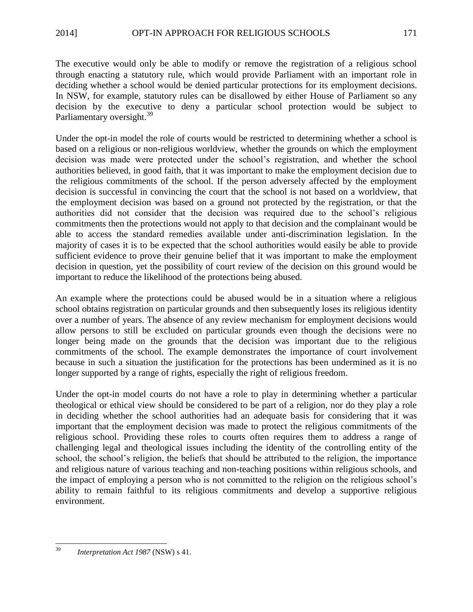The executive would only be able to modify or remove the registration of a religious school through enacting a statutory rule, which would provide Parliament with an important role in deciding whether a school would be denied particular protections for its employment decisions. In NSW, for example, statutory rules can be disallowed by either House of Parliament so any decision by the executive to deny a particular school protection would be subject to Parliamentary oversight.<sup>39</sup>

Under the opt-in model the role of courts would be restricted to determining whether a school is based on a religious or non-religious worldview, whether the grounds on which the employment decision was made were protected under the school's registration, and whether the school authorities believed, in good faith, that it was important to make the employment decision due to the religious commitments of the school. If the person adversely affected by the employment decision is successful in convincing the court that the school is not based on a worldview, that the employment decision was based on a ground not protected by the registration, or that the authorities did not consider that the decision was required due to the school's religious commitments then the protections would not apply to that decision and the complainant would be able to access the standard remedies available under anti-discrimination legislation. In the majority of cases it is to be expected that the school authorities would easily be able to provide sufficient evidence to prove their genuine belief that it was important to make the employment decision in question, yet the possibility of court review of the decision on this ground would be important to reduce the likelihood of the protections being abused.

An example where the protections could be abused would be in a situation where a religious school obtains registration on particular grounds and then subsequently loses its religious identity over a number of years. The absence of any review mechanism for employment decisions would allow persons to still be excluded on particular grounds even though the decisions were no longer being made on the grounds that the decision was important due to the religious commitments of the school. The example demonstrates the importance of court involvement because in such a situation the justification for the protections has been undermined as it is no longer supported by a range of rights, especially the right of religious freedom.

Under the opt-in model courts do not have a role to play in determining whether a particular theological or ethical view should be considered to be part of a religion, nor do they play a role in deciding whether the school authorities had an adequate basis for considering that it was important that the employment decision was made to protect the religious commitments of the religious school. Providing these roles to courts often requires them to address a range of challenging legal and theological issues including the identity of the controlling entity of the school, the school's religion, the beliefs that should be attributed to the religion, the importance and religious nature of various teaching and non-teaching positions within religious schools, and the impact of employing a person who is not committed to the religion on the religious school's ability to remain faithful to its religious commitments and develop a supportive religious environment.

<sup>39</sup> <sup>39</sup> *Interpretation Act 1987* (NSW) s 41.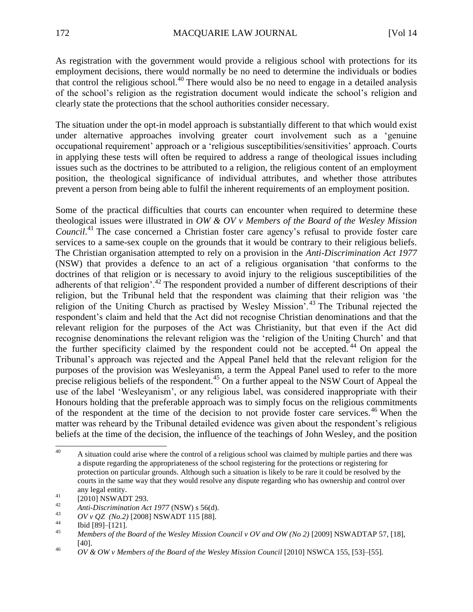As registration with the government would provide a religious school with protections for its employment decisions, there would normally be no need to determine the individuals or bodies that control the religious school.<sup>40</sup> There would also be no need to engage in a detailed analysis of the school's religion as the registration document would indicate the school's religion and clearly state the protections that the school authorities consider necessary.

The situation under the opt-in model approach is substantially different to that which would exist under alternative approaches involving greater court involvement such as a 'genuine occupational requirement' approach or a 'religious susceptibilities/sensitivities' approach. Courts in applying these tests will often be required to address a range of theological issues including issues such as the doctrines to be attributed to a religion, the religious content of an employment position, the theological significance of individual attributes, and whether those attributes prevent a person from being able to fulfil the inherent requirements of an employment position.

Some of the practical difficulties that courts can encounter when required to determine these theological issues were illustrated in *OW & OV v Members of the Board of the Wesley Mission*  Council.<sup>41</sup> The case concerned a Christian foster care agency's refusal to provide foster care services to a same-sex couple on the grounds that it would be contrary to their religious beliefs. The Christian organisation attempted to rely on a provision in the *Anti-Discrimination Act 1977* (NSW) that provides a defence to an act of a religious organisation 'that conforms to the doctrines of that religion or is necessary to avoid injury to the religious susceptibilities of the adherents of that religion'.<sup>42</sup> The respondent provided a number of different descriptions of their religion, but the Tribunal held that the respondent was claiming that their religion was 'the religion of the Uniting Church as practised by Wesley Mission<sup>7</sup>.<sup>43</sup> The Tribunal rejected the respondent's claim and held that the Act did not recognise Christian denominations and that the relevant religion for the purposes of the Act was Christianity, but that even if the Act did recognise denominations the relevant religion was the 'religion of the Uniting Church' and that the further specificity claimed by the respondent could not be accepted.<sup>44</sup> On appeal the Tribunal's approach was rejected and the Appeal Panel held that the relevant religion for the purposes of the provision was Wesleyanism, a term the Appeal Panel used to refer to the more precise religious beliefs of the respondent.<sup>45</sup> On a further appeal to the NSW Court of Appeal the use of the label 'Wesleyanism', or any religious label, was considered inappropriate with their Honours holding that the preferable approach was to simply focus on the religious commitments of the respondent at the time of the decision to not provide foster care services.<sup>46</sup> When the matter was reheard by the Tribunal detailed evidence was given about the respondent's religious beliefs at the time of the decision, the influence of the teachings of John Wesley, and the position

<sup>40</sup> A situation could arise where the control of a religious school was claimed by multiple parties and there was a dispute regarding the appropriateness of the school registering for the protections or registering for protection on particular grounds. Although such a situation is likely to be rare it could be resolved by the courts in the same way that they would resolve any dispute regarding who has ownership and control over any legal entity.

 $^{41}$  [2010] NSWADT 293.

<sup>42</sup> *Anti-Discrimination Act 1977* (NSW) s 56(d).<br>43 *AV \overland* 2) [2009] NSWA DT 115 [99]

<sup>43</sup> *OV v QZ (No.2)* [2008] NSWADT 115 [88].

 $^{44}$  Ibid [89]–[121].

<sup>45</sup> *Members of the Board of the Wesley Mission Council v OV and OW (No 2)* [2009] NSWADTAP 57, [18], [40].

<sup>46</sup> *OV & OW v Members of the Board of the Wesley Mission Council* [2010] NSWCA 155, [53]–[55].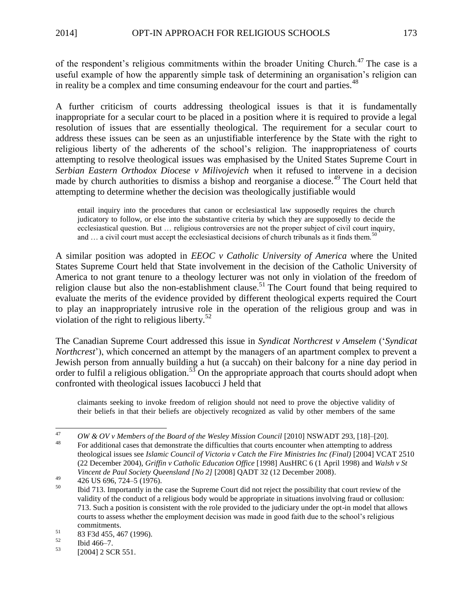of the respondent's religious commitments within the broader Uniting Church.<sup>47</sup> The case is a useful example of how the apparently simple task of determining an organisation's religion can in reality be a complex and time consuming endeavour for the court and parties.<sup>48</sup>

A further criticism of courts addressing theological issues is that it is fundamentally inappropriate for a secular court to be placed in a position where it is required to provide a legal resolution of issues that are essentially theological. The requirement for a secular court to address these issues can be seen as an unjustifiable interference by the State with the right to religious liberty of the adherents of the school's religion. The inappropriateness of courts attempting to resolve theological issues was emphasised by the United States Supreme Court in *Serbian Eastern Orthodox Diocese v Milivojevich* when it refused to intervene in a decision made by church authorities to dismiss a bishop and reorganise a diocese.<sup>49</sup> The Court held that attempting to determine whether the decision was theologically justifiable would

entail inquiry into the procedures that canon or ecclesiastical law supposedly requires the church judicatory to follow, or else into the substantive criteria by which they are supposedly to decide the ecclesiastical question. But … religious controversies are not the proper subject of civil court inquiry, and  $\ldots$  a civil court must accept the ecclesiastical decisions of church tribunals as it finds them.<sup>5</sup>

A similar position was adopted in *EEOC v Catholic University of America* where the United States Supreme Court held that State involvement in the decision of the Catholic University of America to not grant tenure to a theology lecturer was not only in violation of the freedom of religion clause but also the non-establishment clause.<sup>51</sup> The Court found that being required to evaluate the merits of the evidence provided by different theological experts required the Court to play an inappropriately intrusive role in the operation of the religious group and was in violation of the right to religious liberty. $52$ 

The Canadian Supreme Court addressed this issue in *Syndicat Northcrest v Amselem* ('*Syndicat Northcrest*'), which concerned an attempt by the managers of an apartment complex to prevent a Jewish person from annually building a hut (a succah) on their balcony for a nine day period in order to fulfil a religious obligation.<sup>53</sup> On the appropriate approach that courts should adopt when confronted with theological issues Iacobucci J held that

claimants seeking to invoke freedom of religion should not need to prove the objective validity of their beliefs in that their beliefs are objectively recognized as valid by other members of the same

 $\Delta$ 7 <sup>47</sup> *OW & OV v Members of the Board of the Wesley Mission Council* [2010] NSWADT 293, [18]–[20].

<sup>48</sup> For additional cases that demonstrate the difficulties that courts encounter when attempting to address theological issues see *Islamic Council of Victoria v Catch the Fire Ministries Inc (Final)* [2004] VCAT 2510 (22 December 2004), *Griffin v Catholic Education Office* [1998] AusHRC 6 (1 April 1998) and *Walsh v St Vincent de Paul Society Queensland [No 2]* [2008] QADT 32 (12 December 2008).

<sup>&</sup>lt;sup>49</sup> 426 US 696, 724–5 (1976).

<sup>50</sup> Ibid 713. Importantly in the case the Supreme Court did not reject the possibility that court review of the validity of the conduct of a religious body would be appropriate in situations involving fraud or collusion: 713. Such a position is consistent with the role provided to the judiciary under the opt-in model that allows courts to assess whether the employment decision was made in good faith due to the school's religious commitments.

 $^{51}$  83 F3d 455, 467 (1996).<br> $^{52}$  This 466, 7

 $\frac{52}{53}$  Ibid 466–7.

<sup>[2004] 2</sup> SCR 551.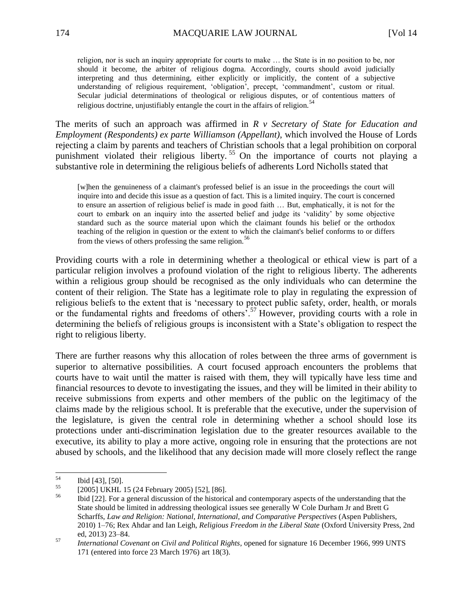religion, nor is such an inquiry appropriate for courts to make … the State is in no position to be, nor should it become, the arbiter of religious dogma. Accordingly, courts should avoid judicially interpreting and thus determining, either explicitly or implicitly, the content of a subjective understanding of religious requirement, 'obligation', precept, 'commandment', custom or ritual. Secular judicial determinations of theological or religious disputes, or of contentious matters of religious doctrine, unjustifiably entangle the court in the affairs of religion. $54$ 

The merits of such an approach was affirmed in *R v Secretary of State for Education and Employment (Respondents) ex parte Williamson (Appellant)*, which involved the House of Lords rejecting a claim by parents and teachers of Christian schools that a legal prohibition on corporal punishment violated their religious liberty. <sup>55</sup> On the importance of courts not playing a substantive role in determining the religious beliefs of adherents Lord Nicholls stated that

[w]hen the genuineness of a claimant's professed belief is an issue in the proceedings the court will inquire into and decide this issue as a question of fact. This is a limited inquiry. The court is concerned to ensure an assertion of religious belief is made in good faith … But, emphatically, it is not for the court to embark on an inquiry into the asserted belief and judge its 'validity' by some objective standard such as the source material upon which the claimant founds his belief or the orthodox teaching of the religion in question or the extent to which the claimant's belief conforms to or differs from the views of others professing the same religion.<sup>56</sup>

Providing courts with a role in determining whether a theological or ethical view is part of a particular religion involves a profound violation of the right to religious liberty. The adherents within a religious group should be recognised as the only individuals who can determine the content of their religion. The State has a legitimate role to play in regulating the expression of religious beliefs to the extent that is 'necessary to protect public safety, order, health, or morals or the fundamental rights and freedoms of others'.<sup>57</sup> However, providing courts with a role in determining the beliefs of religious groups is inconsistent with a State's obligation to respect the right to religious liberty.

There are further reasons why this allocation of roles between the three arms of government is superior to alternative possibilities. A court focused approach encounters the problems that courts have to wait until the matter is raised with them, they will typically have less time and financial resources to devote to investigating the issues, and they will be limited in their ability to receive submissions from experts and other members of the public on the legitimacy of the claims made by the religious school. It is preferable that the executive, under the supervision of the legislature, is given the central role in determining whether a school should lose its protections under anti-discrimination legislation due to the greater resources available to the executive, its ability to play a more active, ongoing role in ensuring that the protections are not abused by schools, and the likelihood that any decision made will more closely reflect the range

<sup>54</sup>  $\frac{54}{55}$  Ibid [43], [50].

 $^{55}$  [2005] UKHL 15 (24 February 2005) [52], [86].

<sup>56</sup> Ibid [22]. For a general discussion of the historical and contemporary aspects of the understanding that the State should be limited in addressing theological issues see generally W Cole Durham Jr and Brett G Scharffs, *Law and Religion: National, International, and Comparative Perspectives* (Aspen Publishers, 2010) 1–76; Rex Ahdar and Ian Leigh, *Religious Freedom in the Liberal State* (Oxford University Press, 2nd ed, 2013) 23–84.

<sup>57</sup> *International Covenant on Civil and Political Rights*, opened for signature 16 December 1966, 999 UNTS 171 (entered into force 23 March 1976) art 18(3).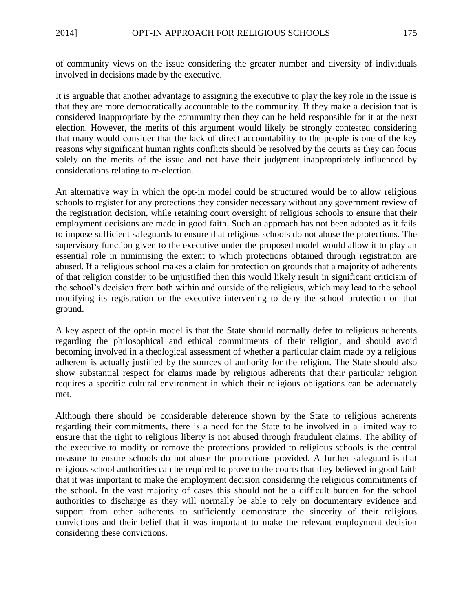of community views on the issue considering the greater number and diversity of individuals involved in decisions made by the executive.

It is arguable that another advantage to assigning the executive to play the key role in the issue is that they are more democratically accountable to the community. If they make a decision that is considered inappropriate by the community then they can be held responsible for it at the next election. However, the merits of this argument would likely be strongly contested considering that many would consider that the lack of direct accountability to the people is one of the key reasons why significant human rights conflicts should be resolved by the courts as they can focus solely on the merits of the issue and not have their judgment inappropriately influenced by considerations relating to re-election.

An alternative way in which the opt-in model could be structured would be to allow religious schools to register for any protections they consider necessary without any government review of the registration decision, while retaining court oversight of religious schools to ensure that their employment decisions are made in good faith. Such an approach has not been adopted as it fails to impose sufficient safeguards to ensure that religious schools do not abuse the protections. The supervisory function given to the executive under the proposed model would allow it to play an essential role in minimising the extent to which protections obtained through registration are abused. If a religious school makes a claim for protection on grounds that a majority of adherents of that religion consider to be unjustified then this would likely result in significant criticism of the school's decision from both within and outside of the religious, which may lead to the school modifying its registration or the executive intervening to deny the school protection on that ground.

A key aspect of the opt-in model is that the State should normally defer to religious adherents regarding the philosophical and ethical commitments of their religion, and should avoid becoming involved in a theological assessment of whether a particular claim made by a religious adherent is actually justified by the sources of authority for the religion. The State should also show substantial respect for claims made by religious adherents that their particular religion requires a specific cultural environment in which their religious obligations can be adequately met.

Although there should be considerable deference shown by the State to religious adherents regarding their commitments, there is a need for the State to be involved in a limited way to ensure that the right to religious liberty is not abused through fraudulent claims. The ability of the executive to modify or remove the protections provided to religious schools is the central measure to ensure schools do not abuse the protections provided. A further safeguard is that religious school authorities can be required to prove to the courts that they believed in good faith that it was important to make the employment decision considering the religious commitments of the school. In the vast majority of cases this should not be a difficult burden for the school authorities to discharge as they will normally be able to rely on documentary evidence and support from other adherents to sufficiently demonstrate the sincerity of their religious convictions and their belief that it was important to make the relevant employment decision considering these convictions.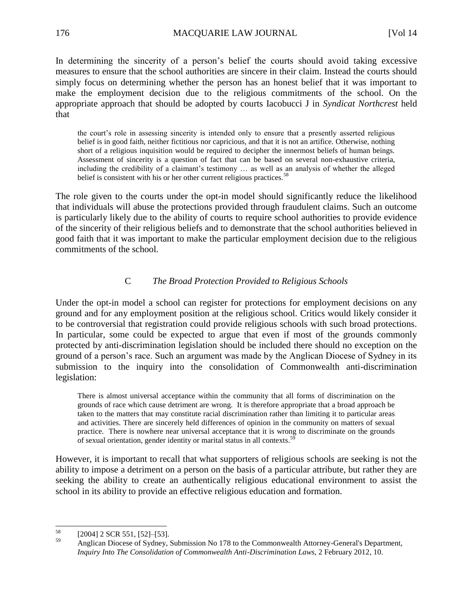In determining the sincerity of a person's belief the courts should avoid taking excessive measures to ensure that the school authorities are sincere in their claim. Instead the courts should simply focus on determining whether the person has an honest belief that it was important to make the employment decision due to the religious commitments of the school. On the appropriate approach that should be adopted by courts Iacobucci J in *Syndicat Northcrest* held that

the court's role in assessing sincerity is intended only to ensure that a presently asserted religious belief is in good faith, neither fictitious nor capricious, and that it is not an artifice. Otherwise, nothing short of a religious inquisition would be required to decipher the innermost beliefs of human beings. Assessment of sincerity is a question of fact that can be based on several non-exhaustive criteria, including the credibility of a claimant's testimony … as well as an analysis of whether the alleged belief is consistent with his or her other current religious practices.<sup>58</sup>

The role given to the courts under the opt-in model should significantly reduce the likelihood that individuals will abuse the protections provided through fraudulent claims. Such an outcome is particularly likely due to the ability of courts to require school authorities to provide evidence of the sincerity of their religious beliefs and to demonstrate that the school authorities believed in good faith that it was important to make the particular employment decision due to the religious commitments of the school.

## C *The Broad Protection Provided to Religious Schools*

Under the opt-in model a school can register for protections for employment decisions on any ground and for any employment position at the religious school. Critics would likely consider it to be controversial that registration could provide religious schools with such broad protections. In particular, some could be expected to argue that even if most of the grounds commonly protected by anti-discrimination legislation should be included there should no exception on the ground of a person's race. Such an argument was made by the Anglican Diocese of Sydney in its submission to the inquiry into the consolidation of Commonwealth anti-discrimination legislation:

There is almost universal acceptance within the community that all forms of discrimination on the grounds of race which cause detriment are wrong. It is therefore appropriate that a broad approach be taken to the matters that may constitute racial discrimination rather than limiting it to particular areas and activities. There are sincerely held differences of opinion in the community on matters of sexual practice. There is nowhere near universal acceptance that it is wrong to discriminate on the grounds of sexual orientation, gender identity or marital status in all contexts.<sup>59</sup>

However, it is important to recall that what supporters of religious schools are seeking is not the ability to impose a detriment on a person on the basis of a particular attribute, but rather they are seeking the ability to create an authentically religious educational environment to assist the school in its ability to provide an effective religious education and formation.

<sup>58</sup>  $^{58}$  [2004] 2 SCR 551, [52]–[53].

<sup>59</sup> Anglican Diocese of Sydney, Submission No 178 to the Commonwealth Attorney-General's Department, *Inquiry Into The Consolidation of Commonwealth Anti-Discrimination Laws*, 2 February 2012, 10.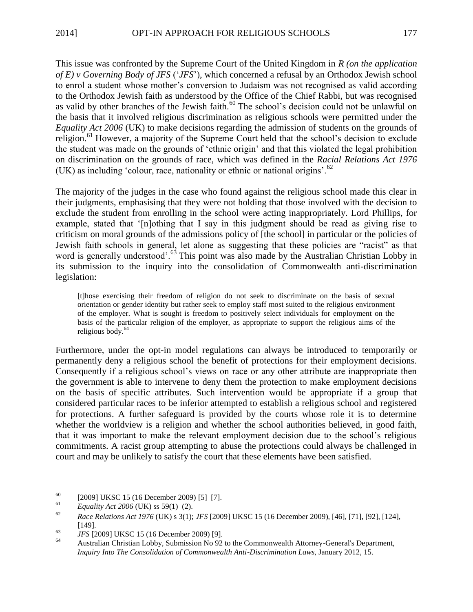This issue was confronted by the Supreme Court of the United Kingdom in *R (on the application of E) v Governing Body of JFS* ('*JFS*'), which concerned a refusal by an Orthodox Jewish school to enrol a student whose mother's conversion to Judaism was not recognised as valid according to the Orthodox Jewish faith as understood by the Office of the Chief Rabbi, but was recognised as valid by other branches of the Jewish faith.<sup>60</sup> The school's decision could not be unlawful on the basis that it involved religious discrimination as religious schools were permitted under the *Equality Act 2006* (UK) to make decisions regarding the admission of students on the grounds of religion.<sup>61</sup> However, a majority of the Supreme Court held that the school's decision to exclude the student was made on the grounds of 'ethnic origin' and that this violated the legal prohibition on discrimination on the grounds of race, which was defined in the *Racial Relations Act 1976* (UK) as including 'colour, race, nationality or ethnic or national origins'.<sup>62</sup>

The majority of the judges in the case who found against the religious school made this clear in their judgments, emphasising that they were not holding that those involved with the decision to exclude the student from enrolling in the school were acting inappropriately. Lord Phillips, for example, stated that '[n]othing that I say in this judgment should be read as giving rise to criticism on moral grounds of the admissions policy of [the school] in particular or the policies of Jewish faith schools in general, let alone as suggesting that these policies are "racist" as that word is generally understood'.<sup>63</sup> This point was also made by the Australian Christian Lobby in its submission to the inquiry into the consolidation of Commonwealth anti-discrimination legislation:

[t]hose exercising their freedom of religion do not seek to discriminate on the basis of sexual orientation or gender identity but rather seek to employ staff most suited to the religious environment of the employer. What is sought is freedom to positively select individuals for employment on the basis of the particular religion of the employer, as appropriate to support the religious aims of the religious body.<sup>64</sup>

Furthermore, under the opt-in model regulations can always be introduced to temporarily or permanently deny a religious school the benefit of protections for their employment decisions. Consequently if a religious school's views on race or any other attribute are inappropriate then the government is able to intervene to deny them the protection to make employment decisions on the basis of specific attributes. Such intervention would be appropriate if a group that considered particular races to be inferior attempted to establish a religious school and registered for protections. A further safeguard is provided by the courts whose role it is to determine whether the worldview is a religion and whether the school authorities believed, in good faith, that it was important to make the relevant employment decision due to the school's religious commitments. A racist group attempting to abuse the protections could always be challenged in court and may be unlikely to satisfy the court that these elements have been satisfied.

<sup>60</sup> <sup>60</sup> [2009] UKSC 15 (16 December 2009) [5]-[7].

<sup>&</sup>lt;sup>61</sup> *Equality Act 2006* (UK) ss 59(1)–(2).<br><sup>62</sup> **Proprietions** Act 1076 (UK) s 3(1):

<sup>62</sup> *Race Relations Act 1976* (UK) s 3(1); *JFS* [2009] UKSC 15 (16 December 2009), [46], [71], [92], [124], [149].

<sup>63</sup> *JFS* [2009] UKSC 15 (16 December 2009) [9].

<sup>64</sup> Australian Christian Lobby, Submission No 92 to the Commonwealth Attorney-General's Department, *Inquiry Into The Consolidation of Commonwealth Anti-Discrimination Laws*, January 2012, 15.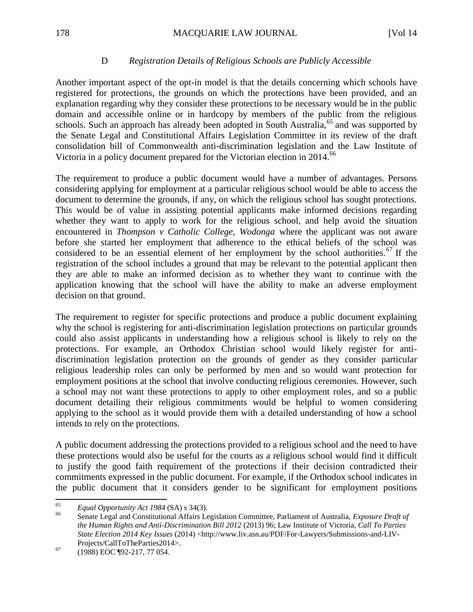## D *Registration Details of Religious Schools are Publicly Accessible*

Another important aspect of the opt-in model is that the details concerning which schools have registered for protections, the grounds on which the protections have been provided, and an explanation regarding why they consider these protections to be necessary would be in the public domain and accessible online or in hardcopy by members of the public from the religious schools. Such an approach has already been adopted in South Australia,  $65$  and was supported by the Senate Legal and Constitutional Affairs Legislation Committee in its review of the draft consolidation bill of Commonwealth anti-discrimination legislation and the Law Institute of Victoria in a policy document prepared for the Victorian election in 2014.<sup>66</sup>

The requirement to produce a public document would have a number of advantages. Persons considering applying for employment at a particular religious school would be able to access the document to determine the grounds, if any, on which the religious school has sought protections. This would be of value in assisting potential applicants make informed decisions regarding whether they want to apply to work for the religious school, and help avoid the situation encountered in *Thompson v Catholic College, Wodonga* where the applicant was not aware before she started her employment that adherence to the ethical beliefs of the school was considered to be an essential element of her employment by the school authorities.<sup>67</sup> If the registration of the school includes a ground that may be relevant to the potential applicant then they are able to make an informed decision as to whether they want to continue with the application knowing that the school will have the ability to make an adverse employment decision on that ground.

The requirement to register for specific protections and produce a public document explaining why the school is registering for anti-discrimination legislation protections on particular grounds could also assist applicants in understanding how a religious school is likely to rely on the protections. For example, an Orthodox Christian school would likely register for antidiscrimination legislation protection on the grounds of gender as they consider particular religious leadership roles can only be performed by men and so would want protection for employment positions at the school that involve conducting religious ceremonies. However, such a school may not want these protections to apply to other employment roles, and so a public document detailing their religious commitments would be helpful to women considering applying to the school as it would provide them with a detailed understanding of how a school intends to rely on the protections.

A public document addressing the protections provided to a religious school and the need to have these protections would also be useful for the courts as a religious school would find it difficult to justify the good faith requirement of the protections if their decision contradicted their commitments expressed in the public document. For example, if the Orthodox school indicates in the public document that it considers gender to be significant for employment positions

<sup>65</sup> <sup>65</sup> *Equal Opportunity Act 1984* (SA) s 34(3).

<sup>66</sup> Senate Legal and Constitutional Affairs Legislation Committee, Parliament of Australia, *Exposure Draft of the Human Rights and Anti-Discrimination Bill 2012* (2013) 96; Law Institute of Victoria, *Call To Parties State Election 2014 Key Issues* (2014) <http://www.liv.asn.au/PDF/For-Lawyers/Submissions-and-LIV-Projects/CallToTheParties2014>.

 $^{67}$  (1988) EOC ¶92-217, 77 054.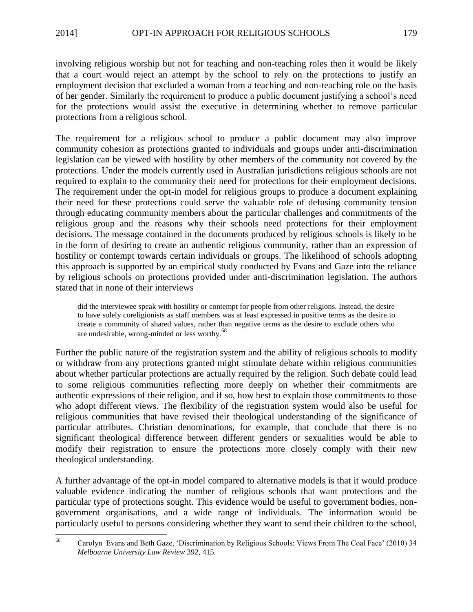involving religious worship but not for teaching and non-teaching roles then it would be likely that a court would reject an attempt by the school to rely on the protections to justify an employment decision that excluded a woman from a teaching and non-teaching role on the basis of her gender. Similarly the requirement to produce a public document justifying a school's need for the protections would assist the executive in determining whether to remove particular protections from a religious school.

The requirement for a religious school to produce a public document may also improve community cohesion as protections granted to individuals and groups under anti-discrimination legislation can be viewed with hostility by other members of the community not covered by the protections. Under the models currently used in Australian jurisdictions religious schools are not required to explain to the community their need for protections for their employment decisions. The requirement under the opt-in model for religious groups to produce a document explaining their need for these protections could serve the valuable role of defusing community tension through educating community members about the particular challenges and commitments of the religious group and the reasons why their schools need protections for their employment decisions. The message contained in the documents produced by religious schools is likely to be in the form of desiring to create an authentic religious community, rather than an expression of hostility or contempt towards certain individuals or groups. The likelihood of schools adopting this approach is supported by an empirical study conducted by Evans and Gaze into the reliance by religious schools on protections provided under anti-discrimination legislation. The authors stated that in none of their interviews

did the interviewee speak with hostility or contempt for people from other religions. Instead, the desire to have solely coreligionists as staff members was at least expressed in positive terms as the desire to create a community of shared values, rather than negative terms as the desire to exclude others who are undesirable, wrong-minded or less worthy.<sup>68</sup>

Further the public nature of the registration system and the ability of religious schools to modify or withdraw from any protections granted might stimulate debate within religious communities about whether particular protections are actually required by the religion. Such debate could lead to some religious communities reflecting more deeply on whether their commitments are authentic expressions of their religion, and if so, how best to explain those commitments to those who adopt different views. The flexibility of the registration system would also be useful for religious communities that have revised their theological understanding of the significance of particular attributes. Christian denominations, for example, that conclude that there is no significant theological difference between different genders or sexualities would be able to modify their registration to ensure the protections more closely comply with their new theological understanding.

A further advantage of the opt-in model compared to alternative models is that it would produce valuable evidence indicating the number of religious schools that want protections and the particular type of protections sought. This evidence would be useful to government bodies, nongovernment organisations, and a wide range of individuals. The information would be particularly useful to persons considering whether they want to send their children to the school,

<sup>68</sup> <sup>68</sup> Carolyn Evans and Beth Gaze, 'Discrimination by Religious Schools: Views From The Coal Face' (2010) 34 *Melbourne University Law Review* 392, 415.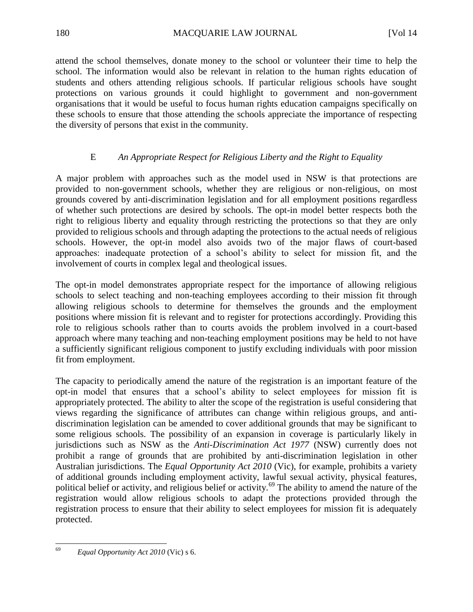attend the school themselves, donate money to the school or volunteer their time to help the school. The information would also be relevant in relation to the human rights education of students and others attending religious schools. If particular religious schools have sought protections on various grounds it could highlight to government and non-government organisations that it would be useful to focus human rights education campaigns specifically on these schools to ensure that those attending the schools appreciate the importance of respecting the diversity of persons that exist in the community.

# E *An Appropriate Respect for Religious Liberty and the Right to Equality*

A major problem with approaches such as the model used in NSW is that protections are provided to non-government schools, whether they are religious or non-religious, on most grounds covered by anti-discrimination legislation and for all employment positions regardless of whether such protections are desired by schools. The opt-in model better respects both the right to religious liberty and equality through restricting the protections so that they are only provided to religious schools and through adapting the protections to the actual needs of religious schools. However, the opt-in model also avoids two of the major flaws of court-based approaches: inadequate protection of a school's ability to select for mission fit, and the involvement of courts in complex legal and theological issues.

The opt-in model demonstrates appropriate respect for the importance of allowing religious schools to select teaching and non-teaching employees according to their mission fit through allowing religious schools to determine for themselves the grounds and the employment positions where mission fit is relevant and to register for protections accordingly. Providing this role to religious schools rather than to courts avoids the problem involved in a court-based approach where many teaching and non-teaching employment positions may be held to not have a sufficiently significant religious component to justify excluding individuals with poor mission fit from employment.

The capacity to periodically amend the nature of the registration is an important feature of the opt-in model that ensures that a school's ability to select employees for mission fit is appropriately protected. The ability to alter the scope of the registration is useful considering that views regarding the significance of attributes can change within religious groups, and antidiscrimination legislation can be amended to cover additional grounds that may be significant to some religious schools. The possibility of an expansion in coverage is particularly likely in jurisdictions such as NSW as the *Anti-Discrimination Act 1977* (NSW) currently does not prohibit a range of grounds that are prohibited by anti-discrimination legislation in other Australian jurisdictions. The *Equal Opportunity Act 2010* (Vic), for example, prohibits a variety of additional grounds including employment activity, lawful sexual activity, physical features, political belief or activity, and religious belief or activity.<sup>69</sup> The ability to amend the nature of the registration would allow religious schools to adapt the protections provided through the registration process to ensure that their ability to select employees for mission fit is adequately protected.

<sup>69</sup> <sup>69</sup> *Equal Opportunity Act 2010* (Vic) s 6.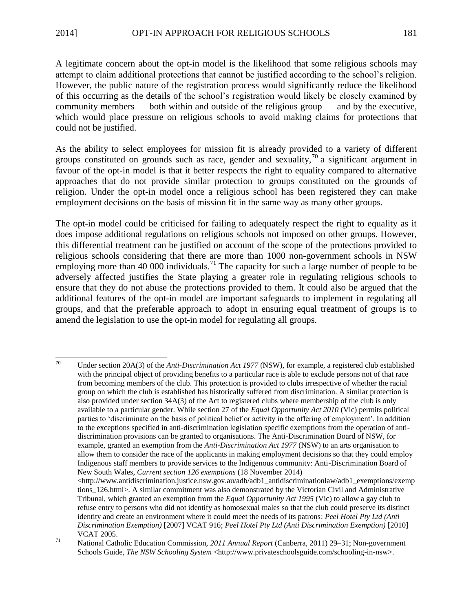A legitimate concern about the opt-in model is the likelihood that some religious schools may attempt to claim additional protections that cannot be justified according to the school's religion. However, the public nature of the registration process would significantly reduce the likelihood of this occurring as the details of the school's registration would likely be closely examined by community members — both within and outside of the religious group — and by the executive, which would place pressure on religious schools to avoid making claims for protections that could not be justified.

As the ability to select employees for mission fit is already provided to a variety of different groups constituted on grounds such as race, gender and sexuality,  $\frac{70}{10}$  a significant argument in favour of the opt-in model is that it better respects the right to equality compared to alternative approaches that do not provide similar protection to groups constituted on the grounds of religion. Under the opt-in model once a religious school has been registered they can make employment decisions on the basis of mission fit in the same way as many other groups.

The opt-in model could be criticised for failing to adequately respect the right to equality as it does impose additional regulations on religious schools not imposed on other groups. However, this differential treatment can be justified on account of the scope of the protections provided to religious schools considering that there are more than 1000 non-government schools in NSW employing more than 40 000 individuals.<sup>71</sup> The capacity for such a large number of people to be adversely affected justifies the State playing a greater role in regulating religious schools to ensure that they do not abuse the protections provided to them. It could also be argued that the additional features of the opt-in model are important safeguards to implement in regulating all groups, and that the preferable approach to adopt in ensuring equal treatment of groups is to amend the legislation to use the opt-in model for regulating all groups.

<sup>70</sup> Under section 20A(3) of the *Anti-Discrimination Act 1977* (NSW), for example, a registered club established with the principal object of providing benefits to a particular race is able to exclude persons not of that race from becoming members of the club. This protection is provided to clubs irrespective of whether the racial group on which the club is established has historically suffered from discrimination. A similar protection is also provided under section 34A(3) of the Act to registered clubs where membership of the club is only available to a particular gender. While section 27 of the *Equal Opportunity Act 2010* (Vic) permits political parties to 'discriminate on the basis of political belief or activity in the offering of employment'. In addition to the exceptions specified in anti-discrimination legislation specific exemptions from the operation of antidiscrimination provisions can be granted to organisations. The Anti-Discrimination Board of NSW, for example, granted an exemption from the *Anti-Discrimination Act 1977* (NSW) to an arts organisation to allow them to consider the race of the applicants in making employment decisions so that they could employ Indigenous staff members to provide services to the Indigenous community: Anti-Discrimination Board of New South Wales, *Current section 126 exemptions* (18 November 2014)

 $\langle$ http://www.antidiscrimination.justice.nsw.gov.au/adb/adb1\_antidiscriminationlaw/adb1\_exemptions/exemp tions 126.html>. A similar commitment was also demonstrated by the Victorian Civil and Administrative Tribunal, which granted an exemption from the *Equal Opportunity Act 1995* (Vic) to allow a gay club to refuse entry to persons who did not identify as homosexual males so that the club could preserve its distinct identity and create an environment where it could meet the needs of its patrons: *Peel Hotel Pty Ltd (Anti Discrimination Exemption)* [2007] VCAT 916; *Peel Hotel Pty Ltd (Anti Discrimination Exemption)* [2010] VCAT 2005.

<sup>71</sup> National Catholic Education Commission, *2011 Annual Report* (Canberra, 2011) 29–31; Non-government Schools Guide, *The NSW Schooling System* <http://www.privateschoolsguide.com/schooling-in-nsw>.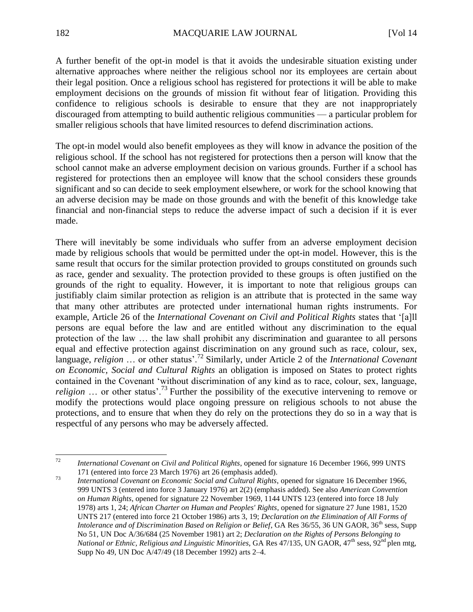A further benefit of the opt-in model is that it avoids the undesirable situation existing under alternative approaches where neither the religious school nor its employees are certain about their legal position. Once a religious school has registered for protections it will be able to make employment decisions on the grounds of mission fit without fear of litigation. Providing this confidence to religious schools is desirable to ensure that they are not inappropriately discouraged from attempting to build authentic religious communities — a particular problem for smaller religious schools that have limited resources to defend discrimination actions.

The opt-in model would also benefit employees as they will know in advance the position of the religious school. If the school has not registered for protections then a person will know that the school cannot make an adverse employment decision on various grounds. Further if a school has registered for protections then an employee will know that the school considers these grounds significant and so can decide to seek employment elsewhere, or work for the school knowing that an adverse decision may be made on those grounds and with the benefit of this knowledge take financial and non-financial steps to reduce the adverse impact of such a decision if it is ever made.

There will inevitably be some individuals who suffer from an adverse employment decision made by religious schools that would be permitted under the opt-in model. However, this is the same result that occurs for the similar protection provided to groups constituted on grounds such as race, gender and sexuality. The protection provided to these groups is often justified on the grounds of the right to equality. However, it is important to note that religious groups can justifiably claim similar protection as religion is an attribute that is protected in the same way that many other attributes are protected under international human rights instruments. For example, Article 26 of the *International Covenant on Civil and Political Rights* states that '[a]ll persons are equal before the law and are entitled without any discrimination to the equal protection of the law … the law shall prohibit any discrimination and guarantee to all persons equal and effective protection against discrimination on any ground such as race, colour, sex, language, *religion* … or other status'.<sup>72</sup> Similarly, under Article 2 of the *International Covenant on Economic, Social and Cultural Rights* an obligation is imposed on States to protect rights contained in the Covenant 'without discrimination of any kind as to race, colour, sex, language, *religion* ... or other status'.<sup>73</sup> Further the possibility of the executive intervening to remove or modify the protections would place ongoing pressure on religious schools to not abuse the protections, and to ensure that when they do rely on the protections they do so in a way that is respectful of any persons who may be adversely affected.

 $72$ <sup>72</sup> *International Covenant on Civil and Political Rights*, opened for signature 16 December 1966, 999 UNTS 171 (entered into force 23 March 1976) art 26 (emphasis added).

<sup>73</sup> *International Covenant on Economic Social and Cultural Rights*, opened for signature 16 December 1966, 999 UNTS 3 (entered into force 3 January 1976) art 2(2) (emphasis added). See also *American Convention on Human Rights*, opened for signature 22 November 1969, 1144 UNTS 123 (entered into force 18 July 1978) arts 1, 24; *African Charter on Human and Peoples' Rights*, opened for signature 27 June 1981, 1520 UNTS 217 (entered into force 21 October 1986) arts 3, 19; *Declaration on the Elimination of All Forms of Intolerance and of Discrimination Based on Religion or Belief*, GA Res 36/55, 36 UN GAOR, 36<sup>th</sup> sess, Supp No 51, UN Doc A/36/684 (25 November 1981) art 2; *Declaration on the Rights of Persons Belonging to National or Ethnic, Religious and Linguistic Minorities, GA Res 47/135, UN GAOR, 47<sup>th</sup> sess, 92<sup>nd</sup> plen mtg,* Supp No 49, UN Doc A/47/49 (18 December 1992) arts 2–4.